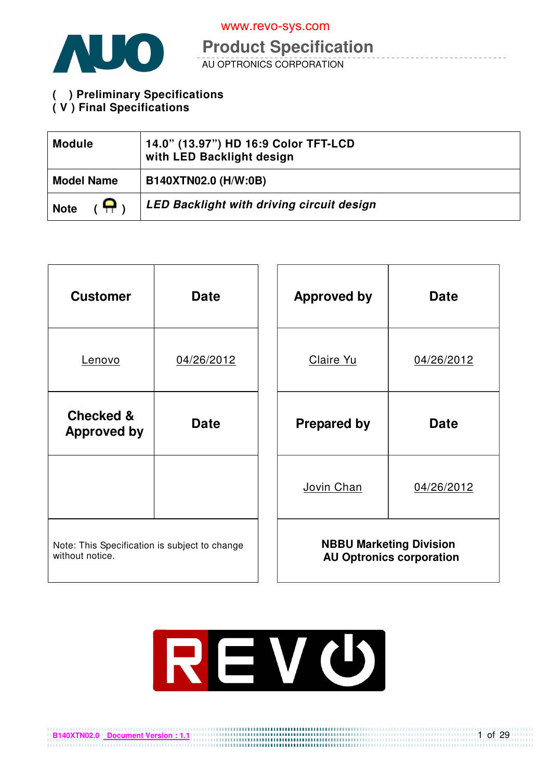

**Product Specification** 

AU OPTRONICS CORPORATION

**( ) Preliminary Specifications** 

# **( V ) Final Specifications**

**B140XTN02.0 Document Version : 1.1**

| <b>Module</b>     | 14.0" (13.97") HD 16:9 Color TFT-LCD<br>with LED Backlight design |
|-------------------|-------------------------------------------------------------------|
| <b>Model Name</b> | B140XTN02.0 (H/W:0B)                                              |
| Ω.<br><b>Note</b> | LED Backlight with driving circuit design                         |

| <b>Customer</b>                                                  | <b>Date</b> |  | <b>Approved by</b>             | <b>Date</b>                     |
|------------------------------------------------------------------|-------------|--|--------------------------------|---------------------------------|
| <u>Lenovo</u>                                                    | 04/26/2012  |  | Claire Yu                      | 04/26/2012                      |
| <b>Checked &amp;</b><br><b>Approved by</b>                       | <b>Date</b> |  | <b>Prepared by</b>             | <b>Date</b>                     |
|                                                                  |             |  | Jovin Chan                     | 04/26/2012                      |
| Note: This Specification is subject to change<br>without notice. |             |  | <b>NBBU Marketing Division</b> | <b>AU Optronics corporation</b> |



1 of 29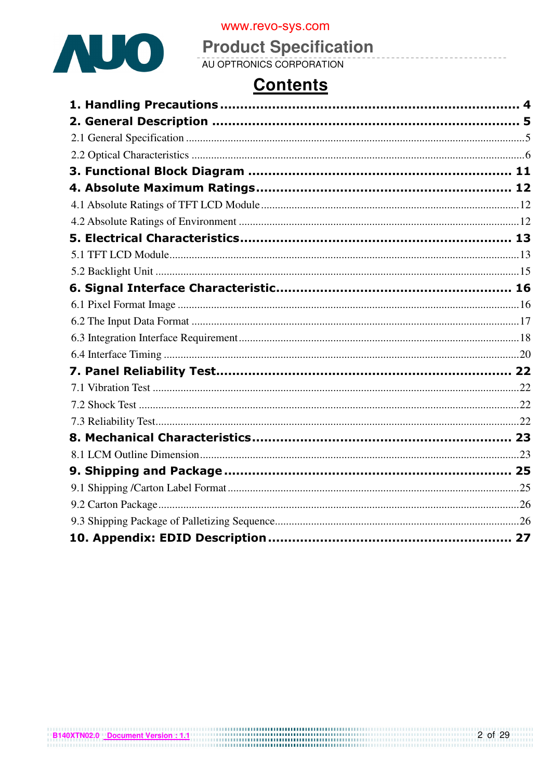

# **Product Specification**

# **Contents**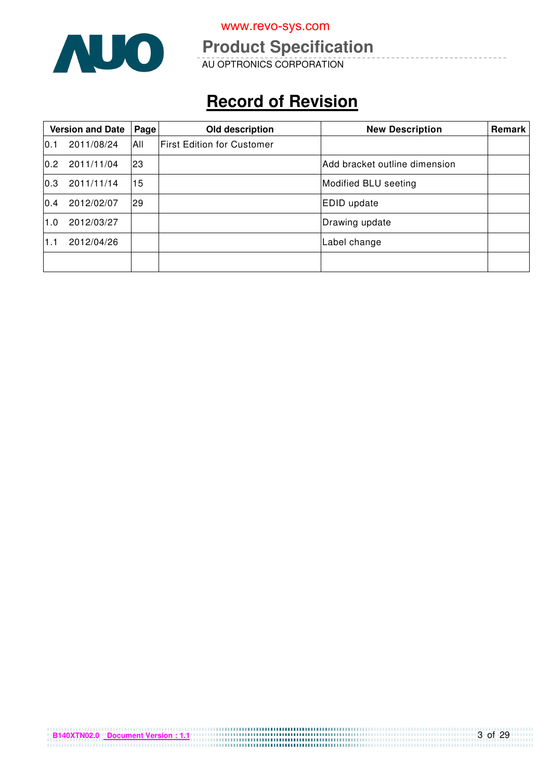

# **Product Specification**

AU OPTRONICS CORPORATION

# **Record of Revision**

|      | <b>Version and Date</b> | Page      | Old description                   | <b>New Description</b>        | Remark |
|------|-------------------------|-----------|-----------------------------------|-------------------------------|--------|
| 10.1 | 2011/08/24              | IAII      | <b>First Edition for Customer</b> |                               |        |
| 0.2  | 2011/11/04              | 23        |                                   | Add bracket outline dimension |        |
| 0.3  | 2011/11/14              | 15        |                                   | Modified BLU seeting          |        |
| 0.4  | 2012/02/07              | <b>29</b> |                                   | <b>EDID</b> update            |        |
| 1.0  | 2012/03/27              |           |                                   | Drawing update                |        |
| 1.1  | 2012/04/26              |           |                                   | Label change                  |        |
|      |                         |           |                                   |                               |        |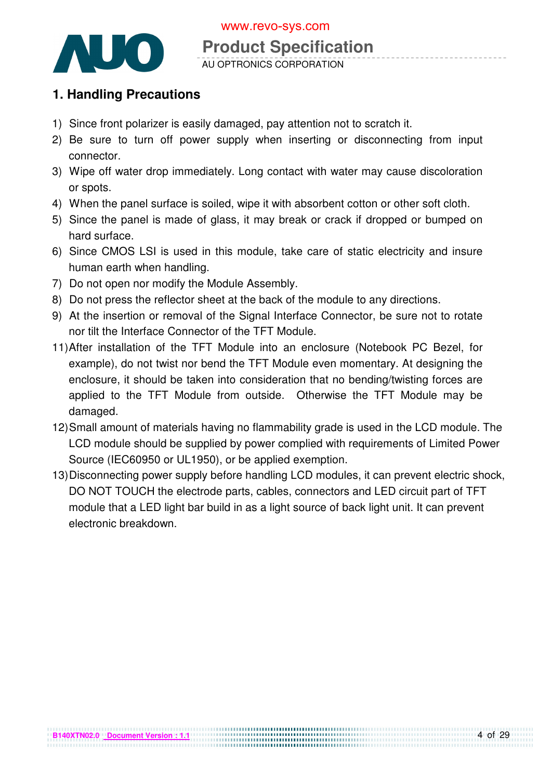

# **Product Specification**

AU OPTRONICS CORPORATION

# **1. Handling Precautions**

- 1) Since front polarizer is easily damaged, pay attention not to scratch it.
- 2) Be sure to turn off power supply when inserting or disconnecting from input connector.
- 3) Wipe off water drop immediately. Long contact with water may cause discoloration or spots.
- 4) When the panel surface is soiled, wipe it with absorbent cotton or other soft cloth.
- 5) Since the panel is made of glass, it may break or crack if dropped or bumped on hard surface.
- 6) Since CMOS LSI is used in this module, take care of static electricity and insure human earth when handling.
- 7) Do not open nor modify the Module Assembly.
- 8) Do not press the reflector sheet at the back of the module to any directions.
- 9) At the insertion or removal of the Signal Interface Connector, be sure not to rotate nor tilt the Interface Connector of the TFT Module.
- 11) After installation of the TFT Module into an enclosure (Notebook PC Bezel, for example), do not twist nor bend the TFT Module even momentary. At designing the enclosure, it should be taken into consideration that no bending/twisting forces are applied to the TFT Module from outside. Otherwise the TFT Module may be damaged.
- 12) Small amount of materials having no flammability grade is used in the LCD module. The LCD module should be supplied by power complied with requirements of Limited Power Source (IEC60950 or UL1950), or be applied exemption.
- 13) Disconnecting power supply before handling LCD modules, it can prevent electric shock, DO NOT TOUCH the electrode parts, cables, connectors and LED circuit part of TFT module that a LED light bar build in as a light source of back light unit. It can prevent electronic breakdown.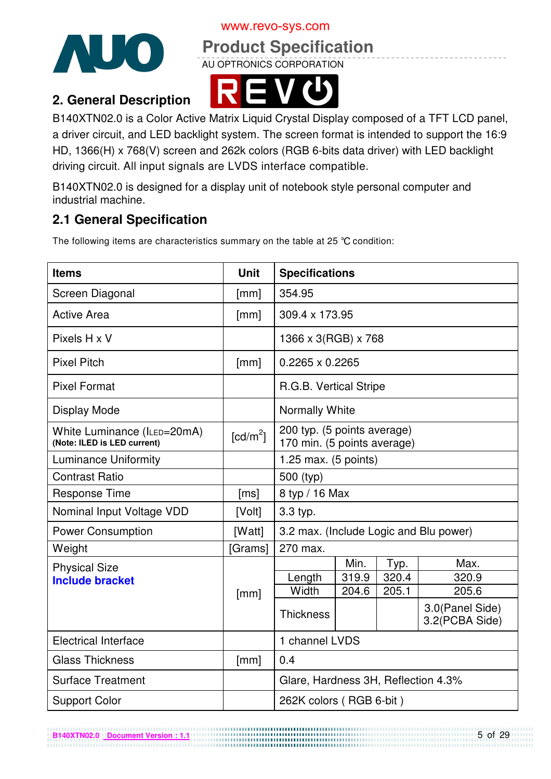



**Product Specification** 

AU OPTRONICS CORPORATION

# **2. General Description**



B140XTN02.0 is a Color Active Matrix Liquid Crystal Display composed of a TFT LCD panel, a driver circuit, and LED backlight system. The screen format is intended to support the 16:9 HD, 1366(H) x 768(V) screen and 262k colors (RGB 6-bits data driver) with LED backlight driving circuit. All input signals are LVDS interface compatible.

B140XTN02.0 is designed for a display unit of notebook style personal computer and industrial machine.

# **2.1 General Specification**

**B140XTN02.0 Document Version : 1.1**

The following items are characteristics summary on the table at 25 °C condition:

| <b>Items</b>                                               | <b>Unit</b>            | <b>Specifications</b>                                      |       |       |                                   |  |
|------------------------------------------------------------|------------------------|------------------------------------------------------------|-------|-------|-----------------------------------|--|
| Screen Diagonal                                            | [mm]                   | 354.95                                                     |       |       |                                   |  |
| <b>Active Area</b>                                         | [mm]                   | 309.4 x 173.95                                             |       |       |                                   |  |
| Pixels H x V                                               |                        | 1366 x 3(RGB) x 768                                        |       |       |                                   |  |
| <b>Pixel Pitch</b>                                         | [mm]                   | 0.2265 x 0.2265                                            |       |       |                                   |  |
| <b>Pixel Format</b>                                        |                        | R.G.B. Vertical Stripe                                     |       |       |                                   |  |
| <b>Display Mode</b>                                        |                        | Normally White                                             |       |       |                                   |  |
| White Luminance (ILED=20mA)<br>(Note: ILED is LED current) | $\lceil cd/m^2 \rceil$ | 200 typ. (5 points average)<br>170 min. (5 points average) |       |       |                                   |  |
| <b>Luminance Uniformity</b>                                |                        | 1.25 max. $(5 \text{ points})$                             |       |       |                                   |  |
| <b>Contrast Ratio</b>                                      |                        | 500 (typ)                                                  |       |       |                                   |  |
| <b>Response Time</b>                                       | [ms]                   | 8 typ / 16 Max                                             |       |       |                                   |  |
| Nominal Input Voltage VDD                                  | [Volt]                 | 3.3 typ.                                                   |       |       |                                   |  |
| <b>Power Consumption</b>                                   | [Watt]                 | 3.2 max. (Include Logic and Blu power)                     |       |       |                                   |  |
| Weight                                                     | [Grams]                | 270 max.                                                   |       |       |                                   |  |
| <b>Physical Size</b>                                       |                        |                                                            | Min.  | Typ.  | Max.                              |  |
| <b>Include bracket</b>                                     |                        | Length                                                     | 319.9 | 320.4 | 320.9                             |  |
|                                                            | [mm]                   | Width                                                      | 204.6 | 205.1 | 205.6                             |  |
|                                                            |                        | <b>Thickness</b>                                           |       |       | 3.0(Panel Side)<br>3.2(PCBA Side) |  |
| <b>Electrical Interface</b>                                |                        | 1 channel LVDS                                             |       |       |                                   |  |
| <b>Glass Thickness</b>                                     | [mm]                   | 0.4                                                        |       |       |                                   |  |
| <b>Surface Treatment</b>                                   |                        | Glare, Hardness 3H, Reflection 4.3%                        |       |       |                                   |  |
| <b>Support Color</b>                                       |                        | 262K colors (RGB 6-bit)                                    |       |       |                                   |  |

5 of 29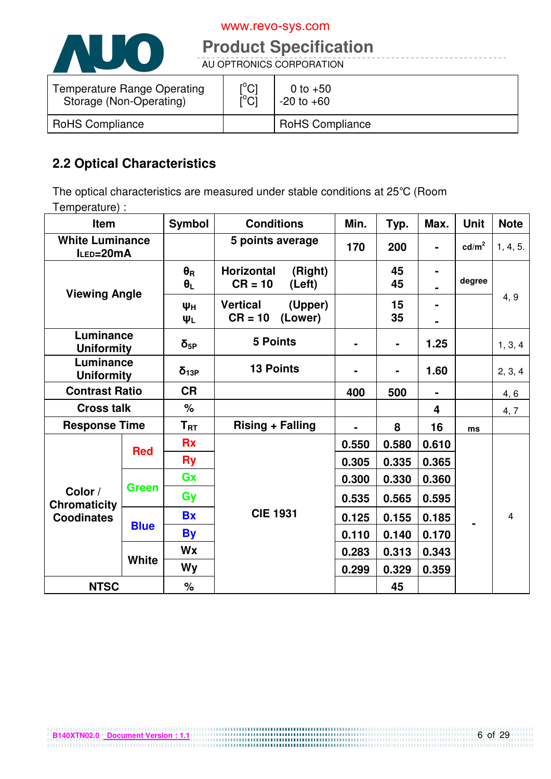

# **Product Specification**

AU OPTRONICS CORPORATION

| <b>Temperature Range Operating</b> | $\mathop{\rm l\hspace{0.05cm}}\nolimits^{\circ}$ Cl | 0 to $+50$             |
|------------------------------------|-----------------------------------------------------|------------------------|
| Storage (Non-Operating)            | ΰCĪ                                                 | $-20$ to $+60$         |
| <b>RoHS Compliance</b>             |                                                     | <b>RoHS Compliance</b> |

# **2.2 Optical Characteristics**

The optical characteristics are measured under stable conditions at 25°C (Room Temperature) :

| <b>Symbol</b><br><b>Conditions</b><br>Item |              | Min.                           | Typ.                                                | Max.           | <b>Unit</b>    | <b>Note</b>    |                   |                |
|--------------------------------------------|--------------|--------------------------------|-----------------------------------------------------|----------------|----------------|----------------|-------------------|----------------|
| <b>White Luminance</b><br>ILED=20mA        |              |                                | 5 points average                                    | 170            | 200            | $\blacksquare$ | cd/m <sup>2</sup> | 1, 4, 5.       |
| <b>Viewing Angle</b>                       |              | $\theta_{\rm R}$<br>$\theta_L$ | <b>Horizontal</b><br>(Right)<br>$CR = 10$<br>(Left) |                | 45<br>45       |                | degree            |                |
|                                            |              | Ψн<br>ΨL                       | <b>Vertical</b><br>(Upper)<br>$CR = 10$<br>(Lower)  |                | 15<br>35       |                |                   | 4, 9           |
| Luminance<br><b>Uniformity</b>             |              | $\delta_{5P}$                  | <b>5 Points</b>                                     | $\blacksquare$ | $\blacksquare$ | 1.25           |                   | 1, 3, 4        |
| Luminance<br><b>Uniformity</b>             |              | $\delta_{13P}$                 | <b>13 Points</b>                                    |                |                | 1.60           |                   | 2, 3, 4        |
| <b>Contrast Ratio</b>                      |              | <b>CR</b>                      |                                                     | 400            | 500            |                |                   | 4, 6           |
| <b>Cross talk</b>                          |              | $\%$                           |                                                     |                |                | 4              |                   | 4, 7           |
| <b>Response Time</b>                       |              | ${\sf T}_{\sf RT}$             | <b>Rising + Falling</b>                             |                | 8              | 16             | ms                |                |
| <b>Red</b>                                 |              | <b>Rx</b>                      |                                                     | 0.550          | 0.580          | 0.610          |                   |                |
|                                            |              | <b>Ry</b>                      |                                                     | 0.305          | 0.335          | 0.365          |                   |                |
|                                            |              | Gx                             |                                                     | 0.300          | 0.330          | 0.360          |                   |                |
| Color /<br><b>Chromaticity</b>             | <b>Green</b> | Gy                             |                                                     | 0.535          | 0.565          | 0.595          |                   |                |
| <b>Coodinates</b>                          |              | <b>Bx</b>                      | <b>CIE 1931</b>                                     | 0.125          | 0.155          | 0.185          |                   | $\overline{4}$ |
|                                            | <b>Blue</b>  | <b>By</b>                      |                                                     | 0.110          | 0.140          | 0.170          |                   |                |
|                                            |              | <b>Wx</b>                      |                                                     | 0.283          | 0.313          | 0.343          |                   |                |
|                                            | <b>White</b> | Wy                             |                                                     | 0.299          | 0.329          | 0.359          |                   |                |
| <b>NTSC</b>                                |              | $\%$                           |                                                     |                | 45             |                |                   |                |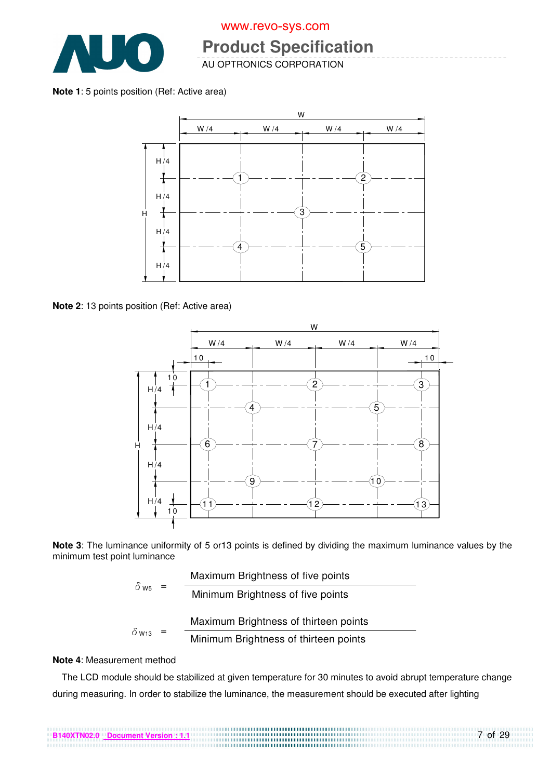

# **Product Specification**

AU OPTRONICS CORPORATION

#### **Note 1**: 5 points position (Ref: Active area)



**Note 2**: 13 points position (Ref: Active area)



**Note 3**: The luminance uniformity of 5 or13 points is defined by dividing the maximum luminance values by the minimum test point luminance

|              | Maximum Brightness of five points     |
|--------------|---------------------------------------|
| $\delta$ ws  | Minimum Brightness of five points     |
|              | Maximum Brightness of thirteen points |
| $\delta$ W13 | Minimum Brightness of thirteen points |

#### **Note 4**: Measurement method

The LCD module should be stabilized at given temperature for 30 minutes to avoid abrupt temperature change during measuring. In order to stabilize the luminance, the measurement should be executed after lighting

7 of 29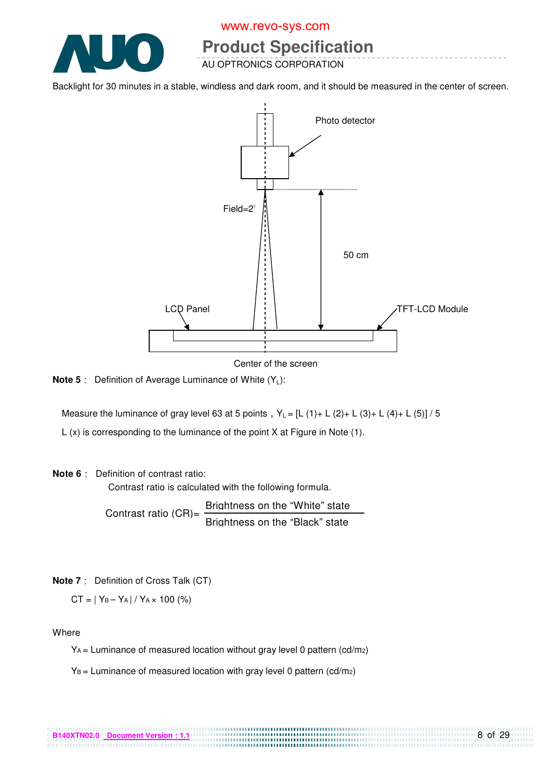

# **Product Specification**

AU OPTRONICS CORPORATION

Backlight for 30 minutes in a stable, windless and dark room, and it should be measured in the center of screen.



Center of the screen

**Note 5** : Definition of Average Luminance of White (Y<sub>1</sub>):

Measure the luminance of gray level 63 at 5 points,  $Y_L = [L (1) + L (2) + L (3) + L (4) + L (5)] / 5$ 

L (x) is corresponding to the luminance of the point X at Figure in Note (1).

#### **Note 6** Definition of contrast ratio:

Contrast ratio is calculated with the following formula.

Contrast ratio  $(CR)$ = Brightness on the "White" state Brightness on the "Black" state

**Note 7** Definition of Cross Talk (CT)

 $CT = |Y_B - Y_A| / Y_A \times 100$  (%)

Where

YA = Luminance of measured location without gray level 0 pattern (cd/m2)

.................................

 $Y_B$  = Luminance of measured location with gray level 0 pattern (cd/m2)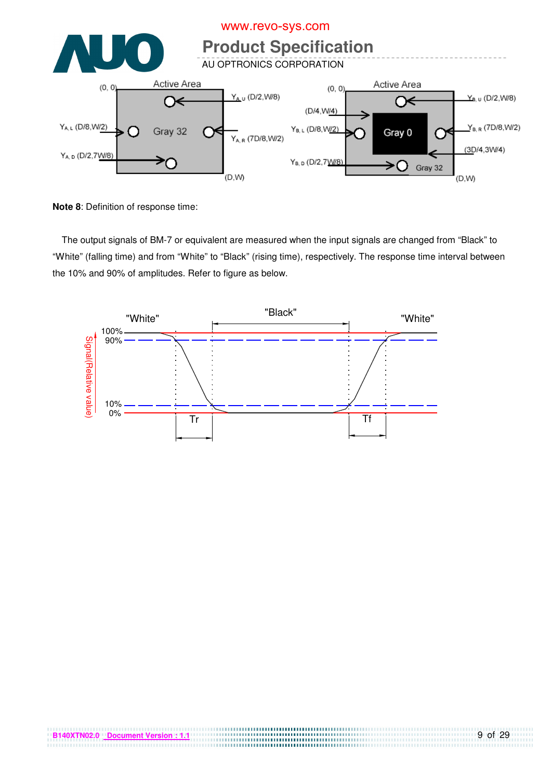

**Note 8**: Definition of response time:

The output signals of BM-7 or equivalent are measured when the input signals are changed from "Black" to "White" (falling time) and from "White" to "Black" (rising time), respectively. The response time interval between the 10% and 90% of amplitudes. Refer to figure as below.



. . . . . . . . . . . . . . . . . . . .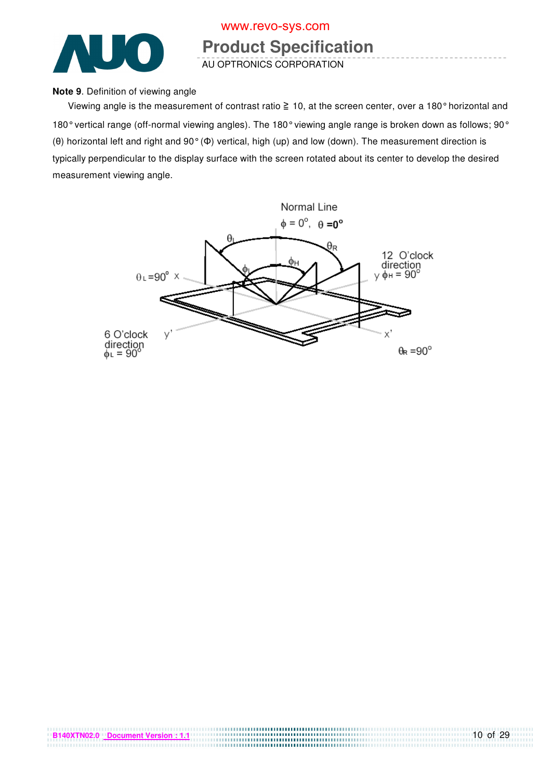

# **Product Specification**

AU OPTRONICS CORPORATION

#### **Note 9**. Definition of viewing angle

Viewing angle is the measurement of contrast ratio  $\geq 10$ , at the screen center, over a 180 $^{\circ}$  horizontal and 180° vertical range (off-normal viewing angles). The 180° viewing angle range is broken down as follows; 90° (θ) horizontal left and right and 90° (Φ) vertical, high (up) and low (down). The measurement direction is typically perpendicular to the display surface with the screen rotated about its center to develop the desired measurement viewing angle.



**B140XTN02.0 Document Version : 1.1**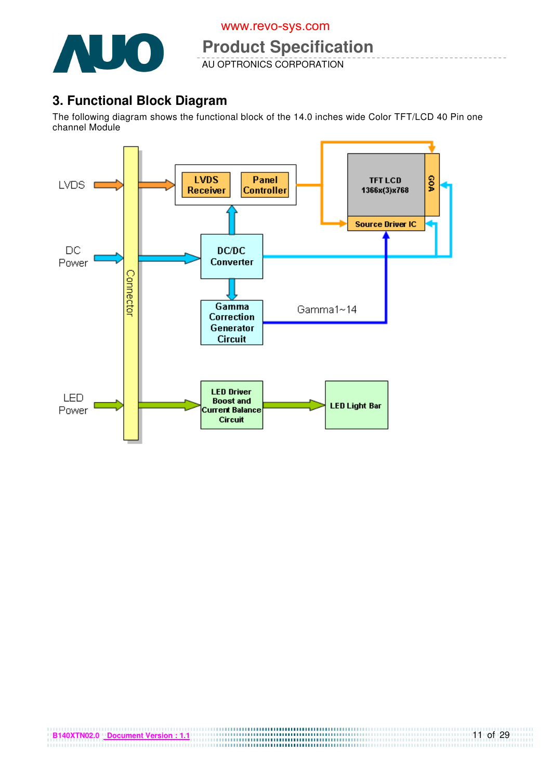

**Product Specification** 

AU OPTRONICS CORPORATION

# **3. Functional Block Diagram**

The following diagram shows the functional block of the 14.0 inches wide Color TFT/LCD 40 Pin one channel Module

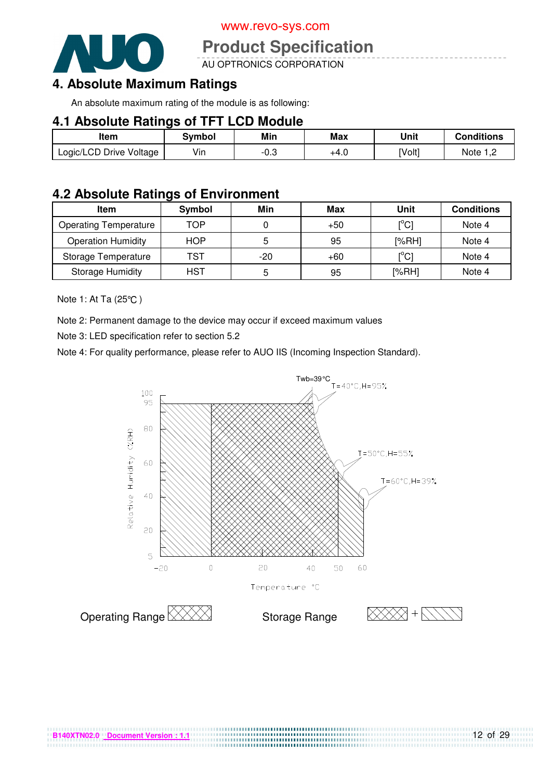

# **Product Specification**

AU OPTRONICS CORPORATION

# **4. Absolute Maximum Ratings**

An absolute maximum rating of the module is as following:

#### **4.1 Absolute Ratings of TFT LCD Module**

| Item                    | Svmbol | Min  | Max  | Unit   | <b>Conditions</b> |
|-------------------------|--------|------|------|--------|-------------------|
| Logic/LCD Drive Voltage | Vin    | −∪.ം | +4.0 | [Volt] | Note 1 m          |

### **4.2 Absolute Ratings of Environment**

| <b>Item</b>                  | Symbol     | Min   | Max   | Unit                                    | <b>Conditions</b> |
|------------------------------|------------|-------|-------|-----------------------------------------|-------------------|
| <b>Operating Temperature</b> | TOP        |       | $+50$ | [°C]                                    | Note 4            |
| <b>Operation Humidity</b>    | <b>HOP</b> |       | 95    | [%RH]                                   | Note 4            |
| Storage Temperature          | TST        | $-20$ | $+60$ | $\mathsf{I}^\circ\mathsf{C} \mathsf{I}$ | Note 4            |
| <b>Storage Humidity</b>      | <b>HST</b> | 5     | 95    | [%RH]                                   | Note 4            |

Note 1: At Ta (25°C)

Note 2: Permanent damage to the device may occur if exceed maximum values

Note 3: LED specification refer to section 5.2

Note 4: For quality performance, please refer to AUO IIS (Incoming Inspection Standard).



................................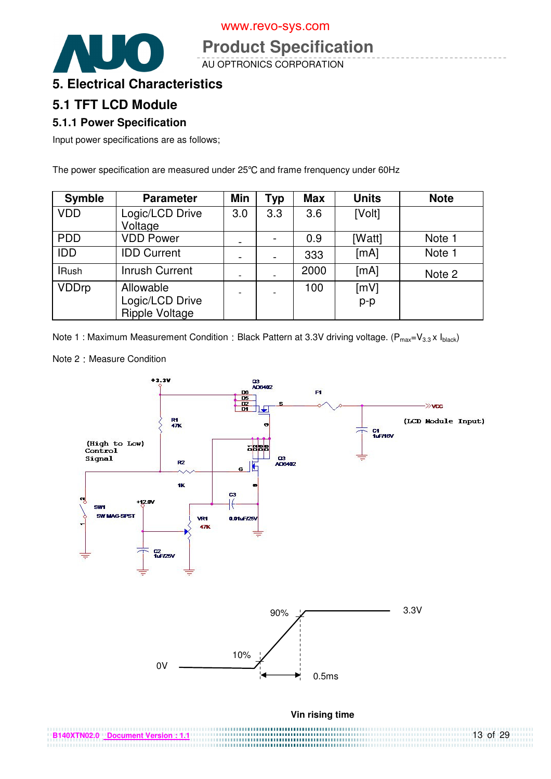

# **Product Specification**

AU OPTRONICS CORPORATION

### **5. Electrical Characteristics**

### **5.1 TFT LCD Module**

#### **5.1.1 Power Specification**

Input power specifications are as follows;

The power specification are measured under 25°C and frame frenquency under 60Hz

| <b>Symble</b> | <b>Parameter</b>      | <b>Min</b> | <b>Typ</b> | <b>Max</b> | <b>Units</b> | <b>Note</b> |
|---------------|-----------------------|------------|------------|------------|--------------|-------------|
| <b>VDD</b>    | Logic/LCD Drive       | 3.0        | 3.3        | 3.6        | [Volt]       |             |
|               | Voltage               |            |            |            |              |             |
| <b>PDD</b>    | <b>VDD Power</b>      |            |            | 0.9        | [Watt]       | Note 1      |
| <b>IDD</b>    | <b>IDD Current</b>    |            |            | 333        | [mA]         | Note 1      |
| <b>IRush</b>  | <b>Inrush Current</b> |            |            | 2000       | [mA]         | Note 2      |
| <b>VDDrp</b>  | Allowable             |            |            | 100        | [mV]         |             |
|               | Logic/LCD Drive       |            |            |            | $p-p$        |             |
|               | <b>Ripple Voltage</b> |            |            |            |              |             |

Note 1 : Maximum Measurement Condition : Black Pattern at 3.3V driving voltage. ( $P_{max}=V_{3.3} \times I_{black}$ )

Note 2 : Measure Condition

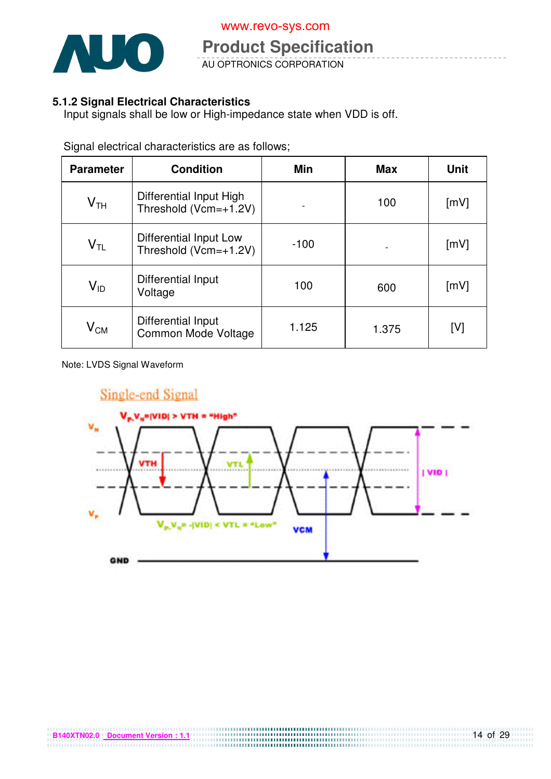

**Product Operation**<br>AU OPTRONICS CORPORATION **Product Specification**  www.revo-sys.com

#### **5.1.2 Signal Electrical Characteristics**

Input signals shall be low or High-impedance state when VDD is off.

| <b>Parameter</b>           | <b>Condition</b>                                 | <b>Min</b> | <b>Max</b> | <b>Unit</b> |
|----------------------------|--------------------------------------------------|------------|------------|-------------|
| $\mathsf{V}_{\mathsf{TH}}$ | Differential Input High<br>Threshold (Vcm=+1.2V) |            | 100        | [mV]        |
| $V_{TL}$                   | Differential Input Low<br>Threshold (Vcm=+1.2V)  | $-100$     |            | [mV]        |
| $\mathsf{V}_{\mathsf{ID}}$ | Differential Input<br>Voltage                    | 100        | 600        | [mV]        |
| $\mathsf{V}_{\mathsf{CM}}$ | Differential Input<br>Common Mode Voltage        | 1.125      | 1.375      | [V]         |

Signal electrical characteristics are as follows;

Note: LVDS Signal Waveform

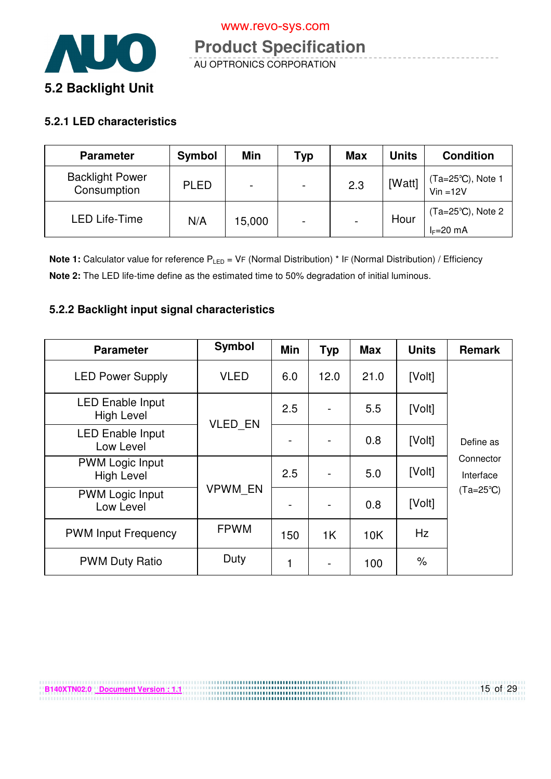

#### **5.2.1 LED characteristics**

**B140XTN02.0 Document Version : 1.1**

| <b>Parameter</b>                      | <b>Symbol</b> | Min                      | Typ                      | <b>Max</b>      | Units  | <b>Condition</b>                           |
|---------------------------------------|---------------|--------------------------|--------------------------|-----------------|--------|--------------------------------------------|
| <b>Backlight Power</b><br>Consumption | <b>PLED</b>   | $\overline{\phantom{0}}$ | $\blacksquare$           | 2.3             | [Watt] | (Ta=25°C), Note 1<br>Vin =12V              |
| <b>LED Life-Time</b>                  | N/A           | 5,000                    | $\overline{\phantom{0}}$ | $\qquad \qquad$ | Hour   | $(Ta=25^{\circ}C)$ , Note 2<br>$l = 20$ mA |

**Note 1:** Calculator value for reference P<sub>LED</sub> = VF (Normal Distribution) \* IF (Normal Distribution) / Efficiency **Note 2:** The LED life-time define as the estimated time to 50% degradation of initial luminous.

#### **5.2.2 Backlight input signal characteristics**

| <b>Parameter</b>                             | Symbol         | <b>Min</b> | <b>Typ</b>     | <b>Max</b> | <b>Units</b> | <b>Remark</b>          |
|----------------------------------------------|----------------|------------|----------------|------------|--------------|------------------------|
| <b>LED Power Supply</b>                      | <b>VLED</b>    | 6.0        | 12.0           | 21.0       | [Volt]       |                        |
| <b>LED Enable Input</b><br><b>High Level</b> |                | 2.5        |                | 5.5        | [Volt]       |                        |
| <b>LED Enable Input</b><br>Low Level         | VLED_EN        |            |                | 0.8        | [Volt]       | Define as              |
| <b>PWM Logic Input</b><br><b>High Level</b>  |                | 2.5        |                | 5.0        | [Volt]       | Connector<br>Interface |
| <b>PWM Logic Input</b><br>Low Level          | <b>VPWM EN</b> |            |                | 0.8        | [Volt]       | $(Ta=25^{\circ}C)$     |
| <b>PWM Input Frequency</b>                   | <b>FPWM</b>    | 150        | 1 <sup>K</sup> | 10K        | Hz           |                        |
| <b>PWM Duty Ratio</b>                        | Duty           | 1          | $\overline{a}$ | 100        | $\%$         |                        |

,,,,,,,,,,,,,,,,,,,,,,,,,,,,,,,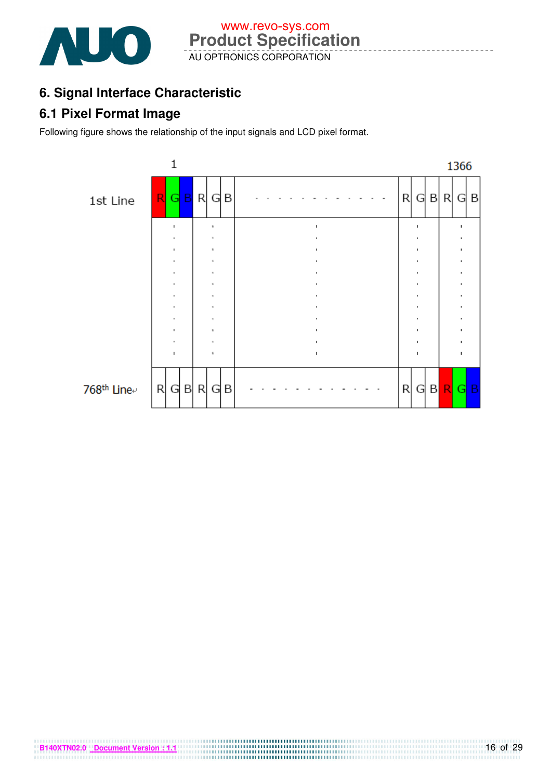

# **6. Signal Interface Characteristic**

# **6.1 Pixel Format Image**

Following figure shows the relationship of the input signals and LCD pixel format.

**B140XTN02.0** Document Version : 1.1

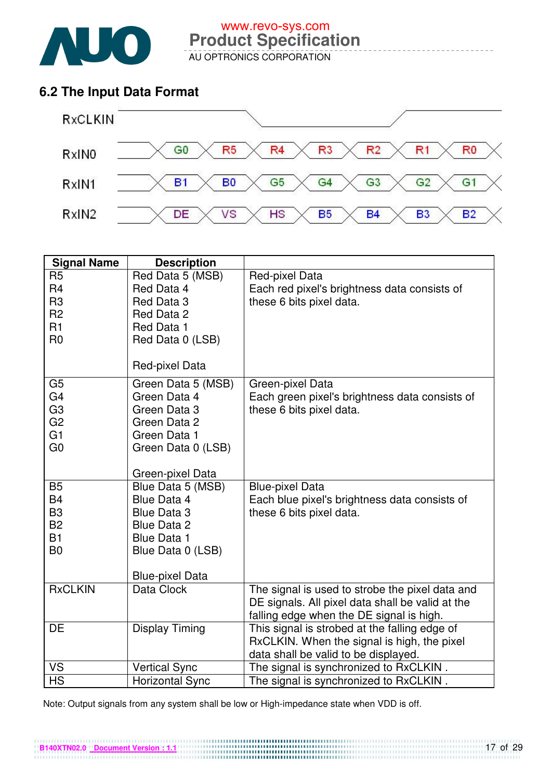

# **6.2 The Input Data Format**



| <b>Signal Name</b>                                                                           | <b>Description</b>                                                                                                                                       |                                                                                                                                                 |
|----------------------------------------------------------------------------------------------|----------------------------------------------------------------------------------------------------------------------------------------------------------|-------------------------------------------------------------------------------------------------------------------------------------------------|
| R <sub>5</sub><br>R <sub>4</sub><br>R <sub>3</sub><br>R <sub>2</sub><br>R1<br>R <sub>0</sub> | Red Data 5 (MSB)<br>Red Data 4<br>Red Data 3<br>Red Data 2<br>Red Data 1<br>Red Data 0 (LSB)<br>Red-pixel Data                                           | Red-pixel Data<br>Each red pixel's brightness data consists of<br>these 6 bits pixel data.                                                      |
| G <sub>5</sub><br>G <sub>4</sub><br>G <sub>3</sub><br>G <sub>2</sub><br>G1<br>G <sub>0</sub> | Green Data 5 (MSB)<br>Green Data 4<br>Green Data 3<br>Green Data 2<br>Green Data 1<br>Green Data 0 (LSB)<br>Green-pixel Data                             | Green-pixel Data<br>Each green pixel's brightness data consists of<br>these 6 bits pixel data.                                                  |
| B <sub>5</sub><br><b>B4</b><br>B <sub>3</sub><br><b>B2</b><br><b>B1</b><br>B <sub>0</sub>    | Blue Data 5 (MSB)<br><b>Blue Data 4</b><br><b>Blue Data 3</b><br><b>Blue Data 2</b><br><b>Blue Data 1</b><br>Blue Data 0 (LSB)<br><b>Blue-pixel Data</b> | <b>Blue-pixel Data</b><br>Each blue pixel's brightness data consists of<br>these 6 bits pixel data.                                             |
| <b>RxCLKIN</b>                                                                               | Data Clock                                                                                                                                               | The signal is used to strobe the pixel data and<br>DE signals. All pixel data shall be valid at the<br>falling edge when the DE signal is high. |
| DE                                                                                           | Display Timing                                                                                                                                           | This signal is strobed at the falling edge of<br>RxCLKIN. When the signal is high, the pixel<br>data shall be valid to be displayed.            |
| VS                                                                                           | <b>Vertical Sync</b>                                                                                                                                     | The signal is synchronized to RxCLKIN.                                                                                                          |
| <b>HS</b>                                                                                    | <b>Horizontal Sync</b>                                                                                                                                   | The signal is synchronized to RxCLKIN.                                                                                                          |

Note: Output signals from any system shall be low or High-impedance state when VDD is off.

**B140XTN02.0** Document Version : 1.1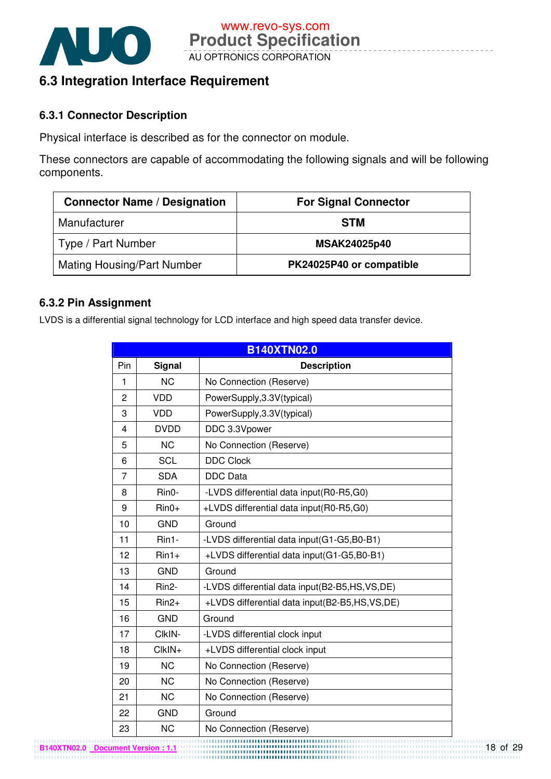

# **6.3 Integration Interface Requirement**

#### **6.3.1 Connector Description**

Physical interface is described as for the connector on module.

These connectors are capable of accommodating the following signals and will be following components.

| <b>Connector Name / Designation</b> | <b>For Signal Connector</b> |
|-------------------------------------|-----------------------------|
| Manufacturer                        | <b>STM</b>                  |
| Type / Part Number                  | <b>MSAK24025p40</b>         |
| <b>Mating Housing/Part Number</b>   | PK24025P40 or compatible    |

### **6.3.2 Pin Assignment**

LVDS is a differential signal technology for LCD interface and high speed data transfer device.

|                |                    | <b>B140XTN02.0</b>                            |
|----------------|--------------------|-----------------------------------------------|
| Pin            | <b>Signal</b>      | <b>Description</b>                            |
| 1              | <b>NC</b>          | No Connection (Reserve)                       |
| $\overline{2}$ | <b>VDD</b>         | PowerSupply, 3.3V(typical)                    |
| 3              | <b>VDD</b>         | PowerSupply, 3.3V(typical)                    |
| $\overline{4}$ | <b>DVDD</b>        | DDC 3.3Vpower                                 |
| 5              | <b>NC</b>          | No Connection (Reserve)                       |
| 6              | <b>SCL</b>         | <b>DDC Clock</b>                              |
| 7              | <b>SDA</b>         | <b>DDC</b> Data                               |
| 8              | Rin0-              | -LVDS differential data input(R0-R5,G0)       |
| 9              | $Rin0+$            | +LVDS differential data input(R0-R5,G0)       |
| 10             | <b>GND</b>         | Ground                                        |
| 11             | $Rin1-$            | -LVDS differential data input(G1-G5,B0-B1)    |
| 12             | $Rin1+$            | +LVDS differential data input(G1-G5,B0-B1)    |
| 13             | <b>GND</b>         | Ground                                        |
| 14             | Rin <sub>2</sub> - | -LVDS differential data input(B2-B5,HS,VS,DE) |
| 15             | $Rin2+$            | +LVDS differential data input(B2-B5,HS,VS,DE) |
| 16             | <b>GND</b>         | Ground                                        |
| 17             | CIkIN-             | -LVDS differential clock input                |
| 18             | ClkIN+             | +LVDS differential clock input                |
| 19             | <b>NC</b>          | No Connection (Reserve)                       |
| 20             | <b>NC</b>          | No Connection (Reserve)                       |
| 21             | <b>NC</b>          | No Connection (Reserve)                       |
| 22             | <b>GND</b>         | Ground                                        |
| 23             | <b>NC</b>          | No Connection (Reserve)                       |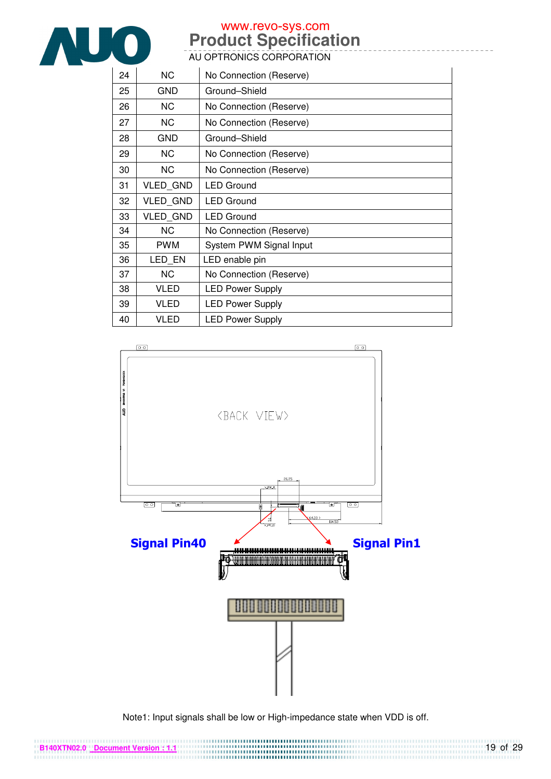

# **Product Specification**  www.revo-sys.com

AU OPTRONICS CORPORATION

| 24 | <b>NC</b>       | No Connection (Reserve) |
|----|-----------------|-------------------------|
| 25 | <b>GND</b>      | Ground-Shield           |
| 26 | <b>NC</b>       | No Connection (Reserve) |
| 27 | <b>NC</b>       | No Connection (Reserve) |
| 28 | GND             | Ground-Shield           |
| 29 | NC.             | No Connection (Reserve) |
| 30 | <b>NC</b>       | No Connection (Reserve) |
| 31 | <b>VLED GND</b> | <b>LED Ground</b>       |
| 32 | <b>VLED GND</b> | <b>LED Ground</b>       |
| 33 | <b>VLED GND</b> | <b>LED Ground</b>       |
| 34 | <b>NC</b>       | No Connection (Reserve) |
| 35 | <b>PWM</b>      | System PWM Signal Input |
| 36 | LED EN          | LED enable pin          |
| 37 | <b>NC</b>       | No Connection (Reserve) |
| 38 | <b>VLED</b>     | <b>LED Power Supply</b> |
| 39 | VLED            | <b>LED Power Supply</b> |
| 40 | VLED            | <b>LED Power Supply</b> |



Note1: Input signals shall be low or High-impedance state when VDD is off.

**B140XTN02.0 Document Version : 1.1**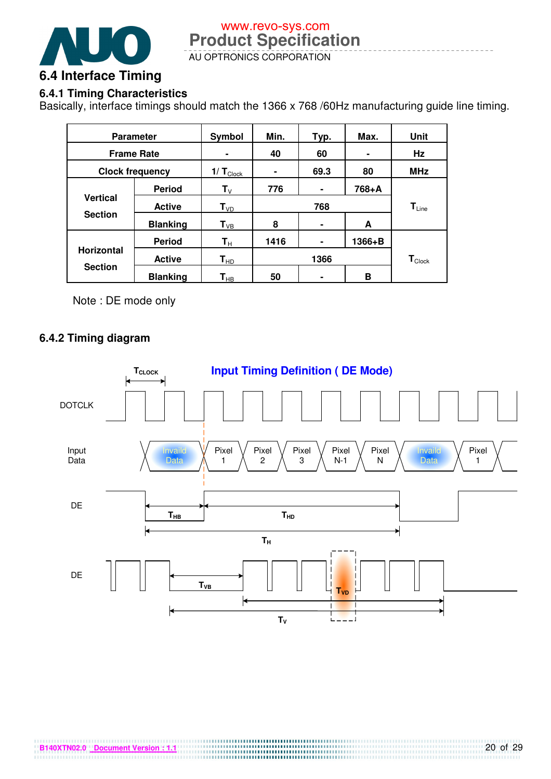

# **6.4.1 Timing Characteristics**

Basically, interface timings should match the 1366 x 768 /60Hz manufacturing guide line timing.

| <b>Parameter</b>       |                 | Symbol                    | Min.           | Typ. | Max.                      | <b>Unit</b> |
|------------------------|-----------------|---------------------------|----------------|------|---------------------------|-------------|
| <b>Frame Rate</b>      |                 |                           | 40             | 60   |                           | Hz          |
| <b>Clock frequency</b> |                 | $1/T_{\text{Clock}}$      | $\blacksquare$ | 69.3 | 80                        | <b>MHz</b>  |
|                        | <b>Period</b>   | $\mathsf{T}_{\mathsf{V}}$ | 776            | ٠    | 768+A                     |             |
| <b>Vertical</b>        | <b>Active</b>   | $T_{VD}$                  | 768            |      |                           | $T_{Line}$  |
| <b>Section</b>         | <b>Blanking</b> | $T_{VB}$                  | 8              | ٠    | A                         |             |
| <b>Horizontal</b>      | <b>Period</b>   | $\mathbf{T}_\mathrm{H}$   | 1416           | ٠    | 1366+B                    |             |
|                        | <b>Active</b>   | $T_{HD}$                  | 1366           |      | $T_{\tiny{\text{Clock}}}$ |             |
| <b>Section</b>         | <b>Blanking</b> | $\textsf{T}_{\sf HB}$     | 50             | ۰    | в                         |             |

Note : DE mode only

#### **6.4.2 Timing diagram**

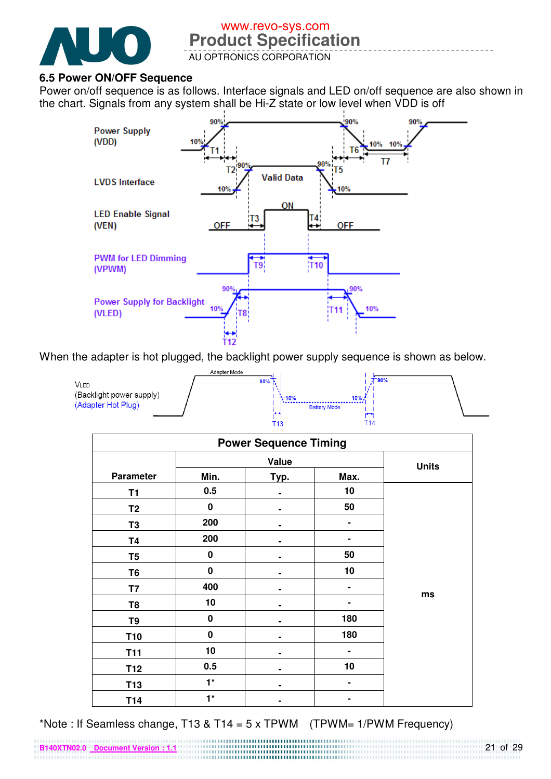

# **Product Specification**  www.revo-sys.com

AU OPTRONICS CORPORATION

#### **6.5 Power ON/OFF Sequence**

**B140XTN02.0 Document Version : 1.1**

Power on/off sequence is as follows. Interface signals and LED on/off sequence are also shown in the chart. Signals from any system shall be Hi-Z state or low level when VDD is off



When the adapter is hot plugged, the backlight power supply sequence is shown as below.

|                                                        | Adapter Mode |                                    |       |  |
|--------------------------------------------------------|--------------|------------------------------------|-------|--|
| VLED<br>(Backlight power supply)<br>(Adapter Hot Plug) | 90%          | 10%<br>-10%<br><b>Battery Mode</b> | T 90% |  |

| <b>Power Sequence Timing</b> |           |       |      |              |
|------------------------------|-----------|-------|------|--------------|
|                              |           | Value |      | <b>Units</b> |
| <b>Parameter</b>             | Min.      | Typ.  | Max. |              |
| T <sub>1</sub>               | 0.5       |       | 10   |              |
| T <sub>2</sub>               | $\pmb{0}$ |       | 50   |              |
| T <sub>3</sub>               | 200       |       | ۰    |              |
| <b>T4</b>                    | 200       |       |      |              |
| T <sub>5</sub>               | $\pmb{0}$ |       | 50   |              |
| T <sub>6</sub>               | $\pmb{0}$ |       | 10   |              |
| T7                           | 400       | -     | ۰    |              |
| T <sub>8</sub>               | 10        |       | ٠    | ms           |
| T <sub>9</sub>               | $\pmb{0}$ |       | 180  |              |
| T <sub>10</sub>              | $\pmb{0}$ |       | 180  |              |
| <b>T11</b>                   | 10        |       |      |              |
| T <sub>12</sub>              | 0.5       |       | 10   |              |
| T <sub>13</sub>              | $1^*$     |       | ۰    |              |
| T14                          | $1^*$     |       |      |              |

\*Note : If Seamless change, T13 & T14 = 5 x TPWM (TPWM=  $1/PWM$  Frequency)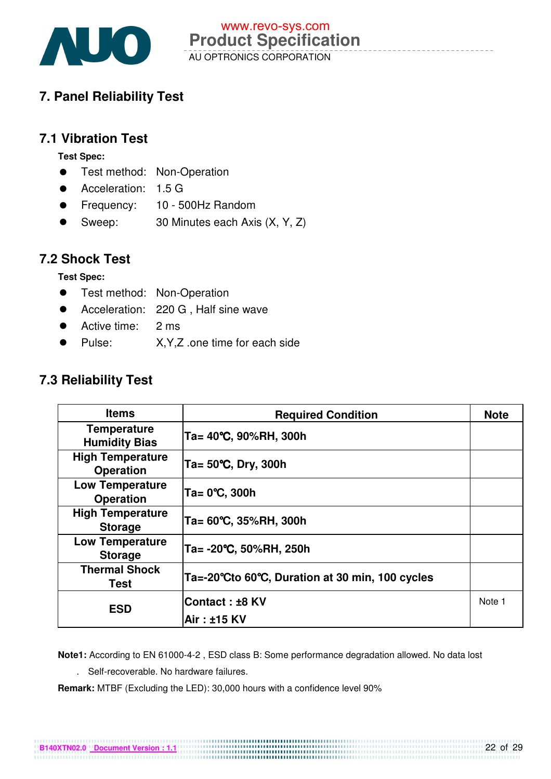

# **7. Panel Reliability Test**

### **7.1 Vibration Test**

**Test Spec:** 

- **•** Test method: Non-Operation
- Acceleration: 1.5 G
- Frequency: 10 500Hz Random
- Sweep: 30 Minutes each Axis (X, Y, Z)

### **7.2 Shock Test**

**Test Spec:** 

- **•** Test method: Non-Operation
- Acceleration: 220 G, Half sine wave
- Active time: 2 ms
- Pulse: X, Y, Z .one time for each side

# **7.3 Reliability Test**

| <b>Items</b>                                | <b>Required Condition</b>                       | <b>Note</b> |
|---------------------------------------------|-------------------------------------------------|-------------|
| <b>Temperature</b><br><b>Humidity Bias</b>  | Ta= 40°C, 90%RH, 300h                           |             |
| <b>High Temperature</b><br><b>Operation</b> | Ta= $50^{\circ}$ C, Dry, 300h                   |             |
| <b>Low Temperature</b><br><b>Operation</b>  | Ta= 0°C, 300h                                   |             |
| <b>High Temperature</b><br><b>Storage</b>   | Ta= 60°C, 35%RH, 300h                           |             |
| <b>Low Temperature</b><br><b>Storage</b>    | Ta= -20°C, 50%RH, 250h                          |             |
| <b>Thermal Shock</b><br>Test                | Ta=-20°Cto 60°C, Duration at 30 min, 100 cycles |             |
| <b>ESD</b>                                  | Contact: ±8 KV                                  | Note 1      |
|                                             | Air: ±15 KV                                     |             |

**Note1:** According to EN 61000-4-2 , ESD class B: Some performance degradation allowed. No data lost

11000000000000000000000000000000000 

. Self-recoverable. No hardware failures.

**Remark:** MTBF (Excluding the LED): 30,000 hours with a confidence level 90%

**B140XTN02.0 Document Version : 1.1**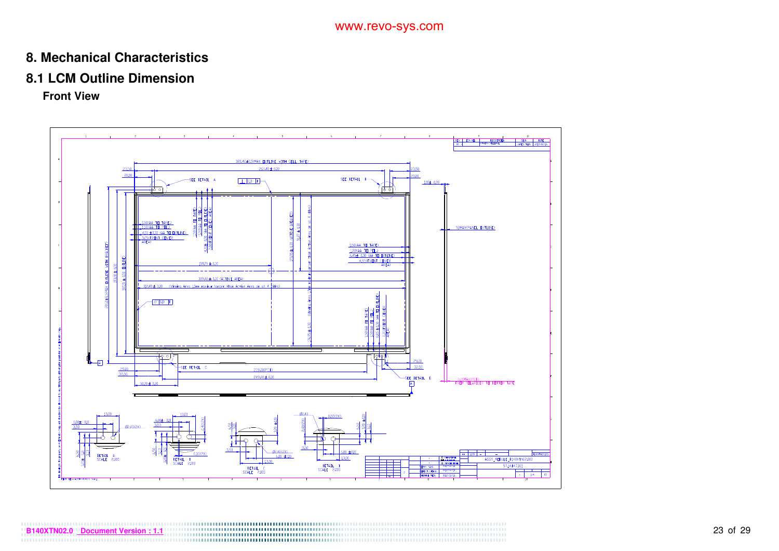### **8. Mechanical Characteristics**

#### **8.1 LCM Outline Dimension**

**Front View**

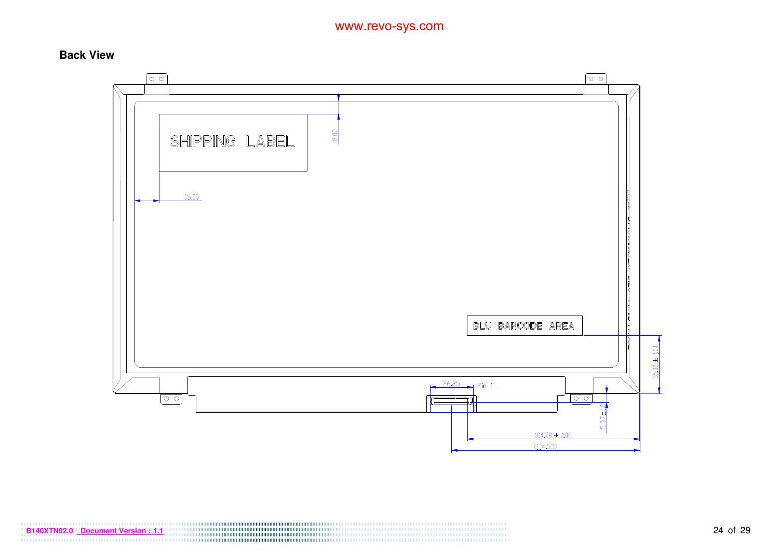#### **Back View**



**B140XTN02.0** <u>Document Version : 1.1</u> 24 of 29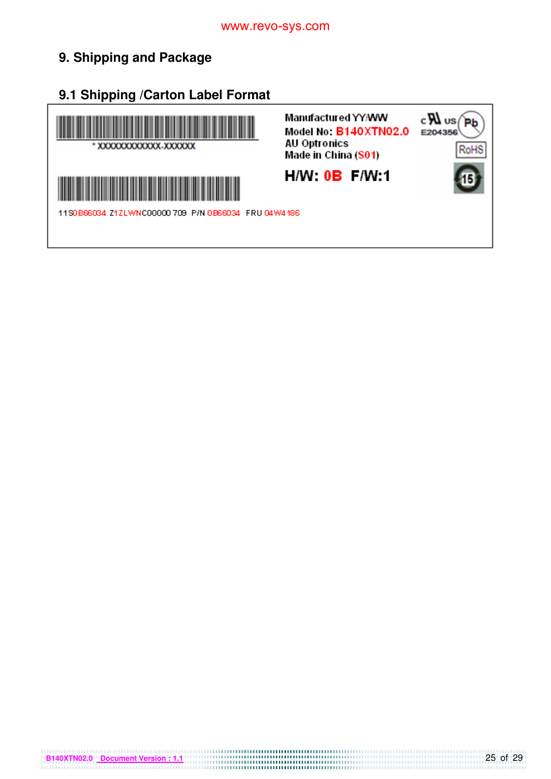# **9. Shipping and Package**

**9.1 Shipping /Carton Label Format**

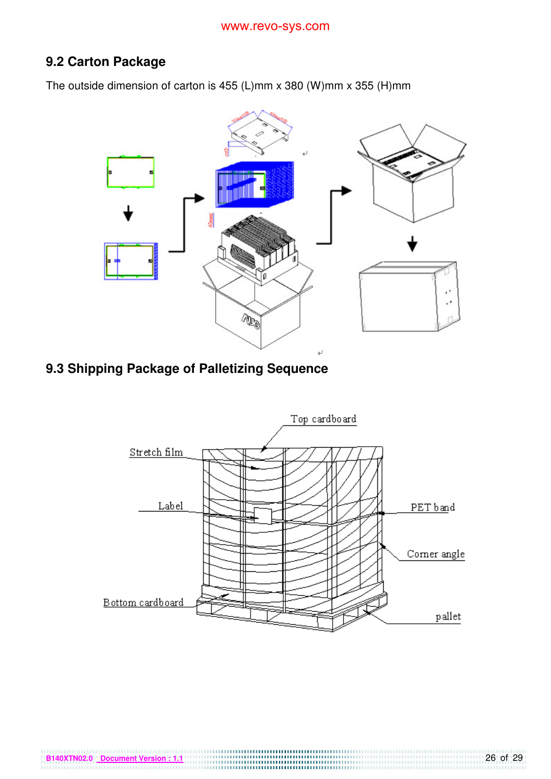# **9.2 Carton Package**

The outside dimension of carton is 455 (L)mm x 380 (W)mm x 355 (H)mm



# **9.3 Shipping Package of Palletizing Sequence**

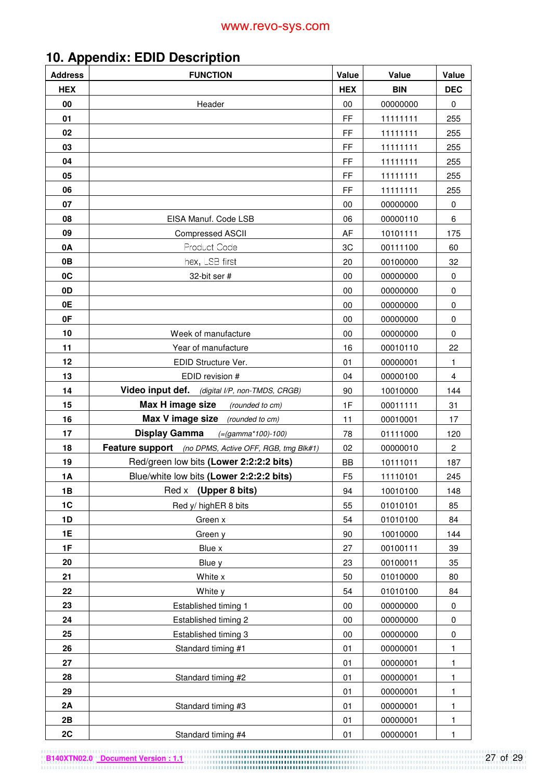# **10. Appendix: EDID Description**

| <b>Address</b> | <b>FUNCTION</b>                                       | Value          | Value      | Value          |
|----------------|-------------------------------------------------------|----------------|------------|----------------|
| <b>HEX</b>     |                                                       | <b>HEX</b>     | <b>BIN</b> | <b>DEC</b>     |
| 00             | Header                                                | $00\,$         | 00000000   | 0              |
| 01             |                                                       | <b>FF</b>      | 11111111   | 255            |
| 02             |                                                       | FF             | 11111111   | 255            |
| 03             |                                                       | FF.            | 11111111   | 255            |
| 04             |                                                       | <b>FF</b>      | 11111111   | 255            |
| 05             |                                                       | FF             | 11111111   | 255            |
| 06             |                                                       | FF             | 11111111   | 255            |
| 07             |                                                       | 00             | 00000000   | 0              |
| 08             | EISA Manuf. Code LSB                                  | 06             | 00000110   | 6              |
| 09             | Compressed ASCII                                      | AF             | 10101111   | 175            |
| 0A             | Product Code                                          | 3C             | 00111100   | 60             |
| 0B             | hex, LSB first                                        | 20             | 00100000   | 32             |
| 0C             | 32-bit ser #                                          | 00             | 00000000   | 0              |
| 0D             |                                                       | 00             | 00000000   | $\pmb{0}$      |
| 0E             |                                                       | 00             | 00000000   | 0              |
| 0F             |                                                       | 00             | 00000000   | 0              |
| 10             | Week of manufacture                                   | 00             | 00000000   | 0              |
| 11             | Year of manufacture                                   | 16             | 00010110   | 22             |
| 12             | EDID Structure Ver.                                   | 01             | 00000001   | 1              |
| 13             | EDID revision #                                       | 04             | 00000100   | $\overline{4}$ |
| 14             | Video input def. (digital I/P, non-TMDS, CRGB)        | 90             | 10010000   | 144            |
| 15             | Max H image size<br>(rounded to cm)                   | 1F             | 00011111   | 31             |
| 16             | Max V image size (rounded to cm)                      | 11             | 00010001   | 17             |
| 17             | <b>Display Gamma</b><br>$(=(gamma*100)-100)$          | 78             | 01111000   | 120            |
| 18             | Feature support (no DPMS, Active OFF, RGB, tmg Blk#1) | 02             | 00000010   | $\overline{2}$ |
| 19             | Red/green low bits (Lower 2:2:2:2 bits)               | BB             | 10111011   | 187            |
| 1A             | Blue/white low bits (Lower 2:2:2:2 bits)              | F <sub>5</sub> | 11110101   | 245            |
| 1B             | (Upper 8 bits)<br>Red x                               | 94             | 10010100   | 148            |
| 1C             | Red y/ highER 8 bits                                  | 55             | 01010101   | 85             |
| 1D             | Green x                                               | 54             | 01010100   | 84             |
| 1E             | Green y                                               | 90             | 10010000   | 144            |
| 1F             | Blue x                                                | 27             | 00100111   | 39             |
| 20             | Blue y                                                | 23             | 00100011   | 35             |
| 21             | White x                                               | 50             | 01010000   | 80             |
| 22             | White y                                               | 54             | 01010100   | 84             |
| 23             | Established timing 1                                  | $00\,$         | 00000000   | 0              |
| 24             | Established timing 2                                  | $00\,$         | 00000000   | $\mathbf 0$    |
| 25             | Established timing 3                                  | $00\,$         | 00000000   | 0              |
| 26             | Standard timing #1                                    | 01             | 00000001   | 1              |
| 27             |                                                       | 01             | 00000001   | $\mathbf{1}$   |
| 28             | Standard timing #2                                    | 01             | 00000001   | 1              |
| 29             |                                                       | 01             | 00000001   | 1              |
| 2A             | Standard timing #3                                    | 01             | 00000001   | 1              |
| 2B             |                                                       | 01             | 00000001   | 1              |
| 2C             | Standard timing #4                                    | 01             | 00000001   | 1              |

**B140XTN02.0** Document Version : 1.1 **27 of 29**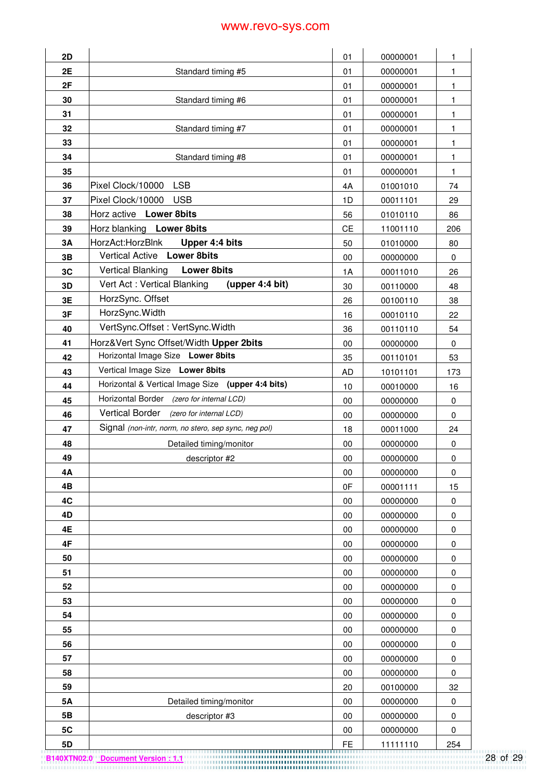| 2D        |                                                      | 01        | 00000001 | 1            |
|-----------|------------------------------------------------------|-----------|----------|--------------|
| 2E        | Standard timing #5                                   | 01        | 00000001 | 1            |
| 2F        |                                                      | 01        | 00000001 | 1            |
| 30        | Standard timing #6                                   | 01        | 00000001 | 1            |
| 31        |                                                      | 01        | 00000001 | $\mathbf{1}$ |
| 32        | Standard timing #7                                   | 01        | 00000001 | 1            |
| 33        |                                                      | 01        | 00000001 | 1            |
| 34        | Standard timing #8                                   | 01        | 00000001 | $\mathbf{1}$ |
| 35        |                                                      | 01        | 00000001 | $\mathbf{1}$ |
| 36        | <b>LSB</b><br>Pixel Clock/10000                      | 4A        | 01001010 | 74           |
| 37        | <b>USB</b><br>Pixel Clock/10000                      | 1D        | 00011101 | 29           |
| 38        | Horz active Lower 8bits                              | 56        | 01010110 | 86           |
| 39        | Horz blanking Lower 8bits                            | <b>CE</b> | 11001110 | 206          |
| 3A        | HorzAct:HorzBlnk<br>Upper 4:4 bits                   | 50        | 01010000 | 80           |
| 3B        | Vertical Active Lower 8bits                          | 00        | 00000000 | $\mathbf 0$  |
| 3C        | <b>Vertical Blanking</b><br><b>Lower 8bits</b>       | 1A        | 00011010 | 26           |
| 3D        | Vert Act: Vertical Blanking<br>(upper 4:4 bit)       | 30        | 00110000 | 48           |
| 3E        | HorzSync. Offset                                     | 26        | 00100110 | 38           |
| 3F        | HorzSync.Width                                       | 16        | 00010110 | 22           |
| 40        | VertSync.Offset: VertSync.Width                      | 36        | 00110110 | 54           |
| 41        | Horz‖ Sync Offset/Width Upper 2bits                  | 00        | 00000000 | $\mathbf 0$  |
| 42        | Horizontal Image Size Lower 8bits                    | 35        | 00110101 | 53           |
| 43        | Vertical Image Size Lower 8bits                      | AD        | 10101101 | 173          |
| 44        | Horizontal & Vertical Image Size (upper 4:4 bits)    | 10        | 00010000 | 16           |
| 45        | Horizontal Border (zero for internal LCD)            | 00        | 00000000 | 0            |
| 46        | Vertical Border (zero for internal LCD)              | 00        | 00000000 | $\pmb{0}$    |
| 47        | Signal (non-intr, norm, no stero, sep sync, neg pol) | 18        | 00011000 | 24           |
| 48        | Detailed timing/monitor                              | 00        | 00000000 | 0            |
| 49        | descriptor #2                                        | 00        | 00000000 | $\pmb{0}$    |
| 4Α        |                                                      | 00        | 00000000 | 0            |
| 4B        |                                                      | 0F        | 00001111 | 15           |
| 4C        |                                                      | 00        | 00000000 | $\pmb{0}$    |
| 4D        |                                                      | 00        | 00000000 | $\pmb{0}$    |
| 4E        |                                                      | 00        | 00000000 | $\pmb{0}$    |
| 4F        |                                                      | 00        | 00000000 | $\pmb{0}$    |
| 50        |                                                      | 00        | 00000000 | $\pmb{0}$    |
| 51        |                                                      | 00        | 00000000 | $\pmb{0}$    |
| 52        |                                                      | 00        | 00000000 | $\pmb{0}$    |
| 53        |                                                      | 00        | 00000000 | $\pmb{0}$    |
| 54        |                                                      | 00        | 00000000 | $\pmb{0}$    |
| 55        |                                                      | 00        | 00000000 | $\pmb{0}$    |
| 56        |                                                      | 00        | 00000000 | $\pmb{0}$    |
| 57        |                                                      | 00        | 00000000 | $\pmb{0}$    |
| 58        |                                                      | 00        | 00000000 | $\pmb{0}$    |
| 59        |                                                      | 20        | 00100000 | 32           |
| <b>5A</b> | Detailed timing/monitor                              | 00        | 00000000 | $\pmb{0}$    |
| 5B        | descriptor #3                                        | 00        | 00000000 | 0            |
| 5C        |                                                      | 00        | 00000000 | $\mathbf 0$  |
| 5D        |                                                      | FE.       | 11111110 | 254          |

**B140XTN02.0 Document Version : 1.1** 28 of 29